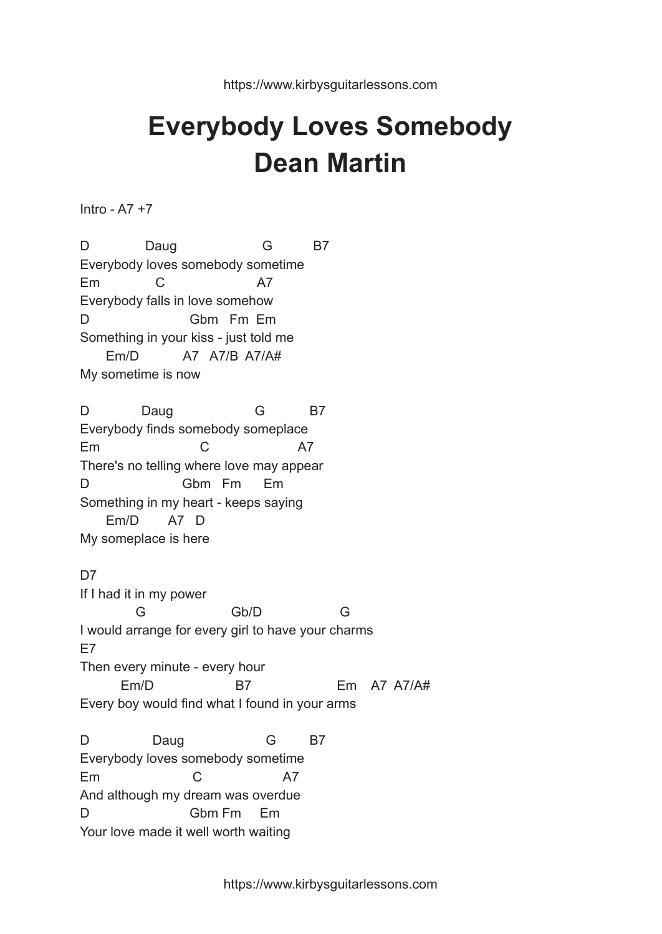## **Everybody Loves Somebody Dean Martin**

Intro - A7 +7

D Daug G B7 Everybody loves somebody sometime Em C A7 Everybody falls in love somehow D Gbm Fm Em Something in your kiss - just told me Em/D A7 A7/B A7/A# My sometime is now D Daug G B7 Everybody finds somebody someplace Em C A7 There's no telling where love may appear D Gbm Fm Em Something in my heart - keeps saying Em/D A7 D My someplace is here D<sub>7</sub> If I had it in my power G Gb/D G I would arrange for every girl to have your charms E7 Then every minute - every hour Em/D B7 Em A7 A7/A# Every boy would find what I found in your arms D Daug G B7 Everybody loves somebody sometime Em C A7 And although my dream was overdue D Gbm Fm Em Your love made it well worth waiting